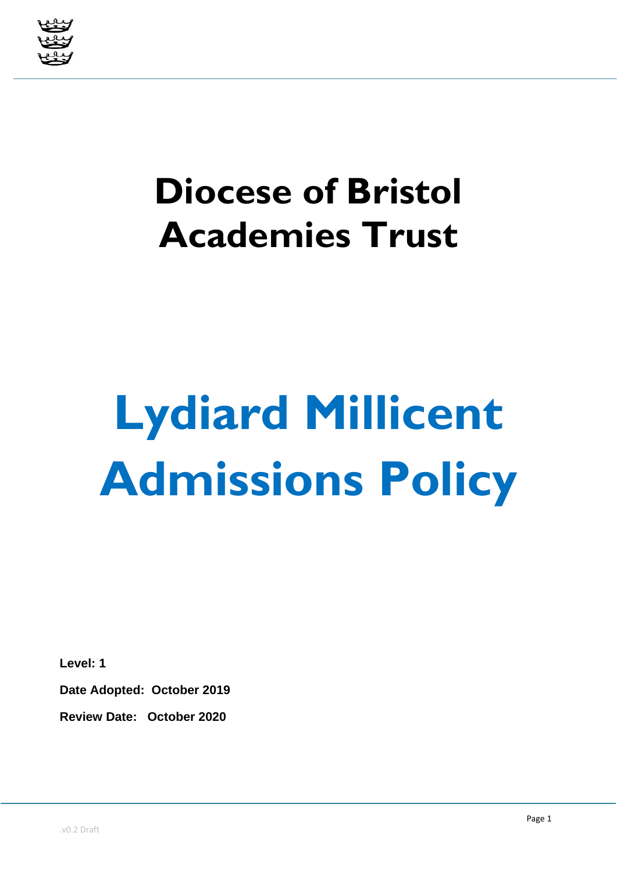

# **Diocese of Bristol Academies Trust**

# **Lydiard Millicent Admissions Policy**

**Level: 1**

**Date Adopted: October 2019**

**Review Date: October 2020**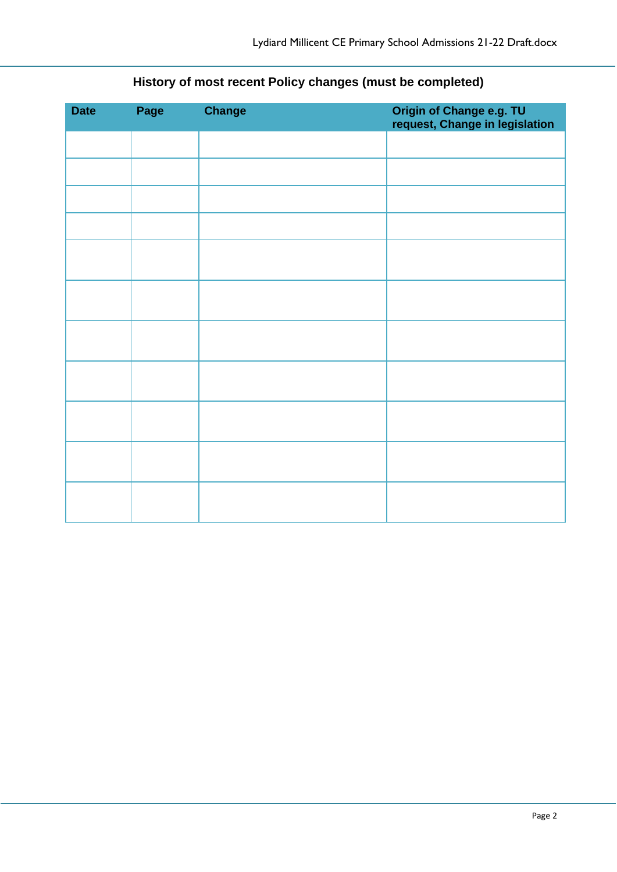| <b>Date</b> | Page | <b>Change</b> | Origin of Change e.g. TU<br>request, Change in legislation |
|-------------|------|---------------|------------------------------------------------------------|
|             |      |               |                                                            |
|             |      |               |                                                            |
|             |      |               |                                                            |
|             |      |               |                                                            |
|             |      |               |                                                            |
|             |      |               |                                                            |
|             |      |               |                                                            |
|             |      |               |                                                            |
|             |      |               |                                                            |
|             |      |               |                                                            |
|             |      |               |                                                            |

## **History of most recent Policy changes (must be completed)**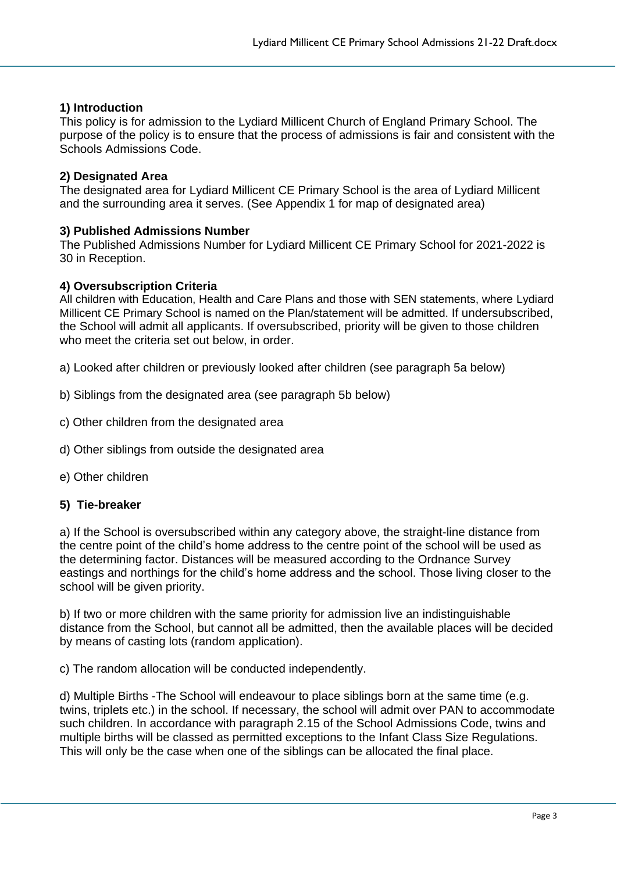#### **1) Introduction**

This policy is for admission to the Lydiard Millicent Church of England Primary School. The purpose of the policy is to ensure that the process of admissions is fair and consistent with the Schools Admissions Code.

#### **2) Designated Area**

The designated area for Lydiard Millicent CE Primary School is the area of Lydiard Millicent and the surrounding area it serves. (See Appendix 1 for map of designated area)

#### **3) Published Admissions Number**

The Published Admissions Number for Lydiard Millicent CE Primary School for 2021-2022 is 30 in Reception.

#### **4) Oversubscription Criteria**

All children with Education, Health and Care Plans and those with SEN statements, where Lydiard Millicent CE Primary School is named on the Plan/statement will be admitted. If undersubscribed, the School will admit all applicants. If oversubscribed, priority will be given to those children who meet the criteria set out below, in order.

a) Looked after children or previously looked after children (see paragraph 5a below)

- b) Siblings from the designated area (see paragraph 5b below)
- c) Other children from the designated area
- d) Other siblings from outside the designated area
- e) Other children

#### **5) Tie-breaker**

a) If the School is oversubscribed within any category above, the straight-line distance from the centre point of the child's home address to the centre point of the school will be used as the determining factor. Distances will be measured according to the Ordnance Survey eastings and northings for the child's home address and the school. Those living closer to the school will be given priority.

b) If two or more children with the same priority for admission live an indistinguishable distance from the School, but cannot all be admitted, then the available places will be decided by means of casting lots (random application).

c) The random allocation will be conducted independently.

d) Multiple Births -The School will endeavour to place siblings born at the same time (e.g. twins, triplets etc.) in the school. If necessary, the school will admit over PAN to accommodate such children. In accordance with paragraph 2.15 of the School Admissions Code, twins and multiple births will be classed as permitted exceptions to the Infant Class Size Regulations. This will only be the case when one of the siblings can be allocated the final place.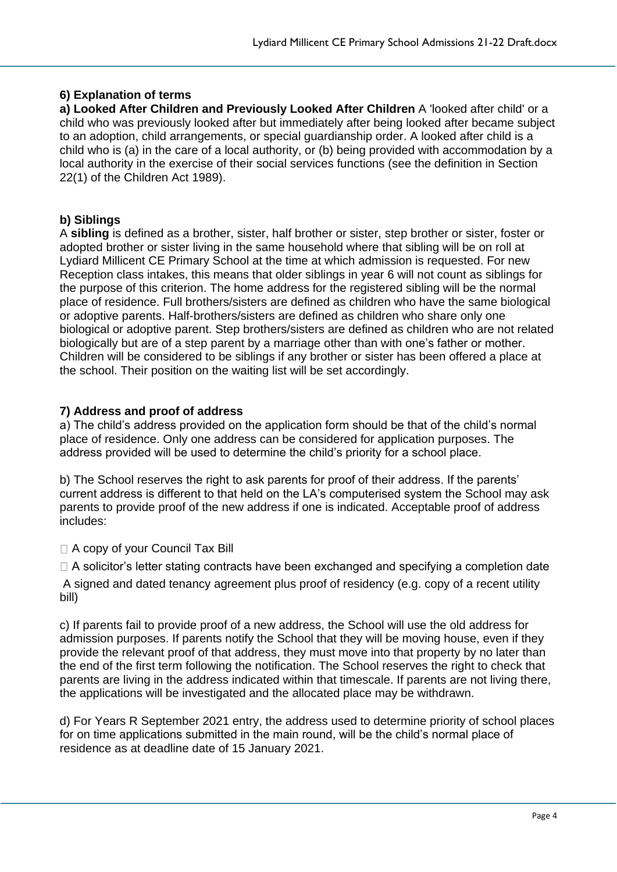#### **6) Explanation of terms**

**a) Looked After Children and Previously Looked After Children** A 'looked after child' or a child who was previously looked after but immediately after being looked after became subject to an adoption, child arrangements, or special guardianship order. A looked after child is a child who is (a) in the care of a local authority, or (b) being provided with accommodation by a local authority in the exercise of their social services functions (see the definition in Section 22(1) of the Children Act 1989).

#### **b) Siblings**

A **sibling** is defined as a brother, sister, half brother or sister, step brother or sister, foster or adopted brother or sister living in the same household where that sibling will be on roll at Lydiard Millicent CE Primary School at the time at which admission is requested. For new Reception class intakes, this means that older siblings in year 6 will not count as siblings for the purpose of this criterion. The home address for the registered sibling will be the normal place of residence. Full brothers/sisters are defined as children who have the same biological or adoptive parents. Half-brothers/sisters are defined as children who share only one biological or adoptive parent. Step brothers/sisters are defined as children who are not related biologically but are of a step parent by a marriage other than with one's father or mother. Children will be considered to be siblings if any brother or sister has been offered a place at the school. Their position on the waiting list will be set accordingly.

#### **7) Address and proof of address**

a) The child's address provided on the application form should be that of the child's normal place of residence. Only one address can be considered for application purposes. The address provided will be used to determine the child's priority for a school place.

b) The School reserves the right to ask parents for proof of their address. If the parents' current address is different to that held on the LA's computerised system the School may ask parents to provide proof of the new address if one is indicated. Acceptable proof of address includes:

□ A copy of your Council Tax Bill

 $\Box$  A solicitor's letter stating contracts have been exchanged and specifying a completion date A signed and dated tenancy agreement plus proof of residency (e.g. copy of a recent utility bill)

c) If parents fail to provide proof of a new address, the School will use the old address for admission purposes. If parents notify the School that they will be moving house, even if they provide the relevant proof of that address, they must move into that property by no later than the end of the first term following the notification. The School reserves the right to check that parents are living in the address indicated within that timescale. If parents are not living there, the applications will be investigated and the allocated place may be withdrawn.

d) For Years R September 2021 entry, the address used to determine priority of school places for on time applications submitted in the main round, will be the child's normal place of residence as at deadline date of 15 January 2021.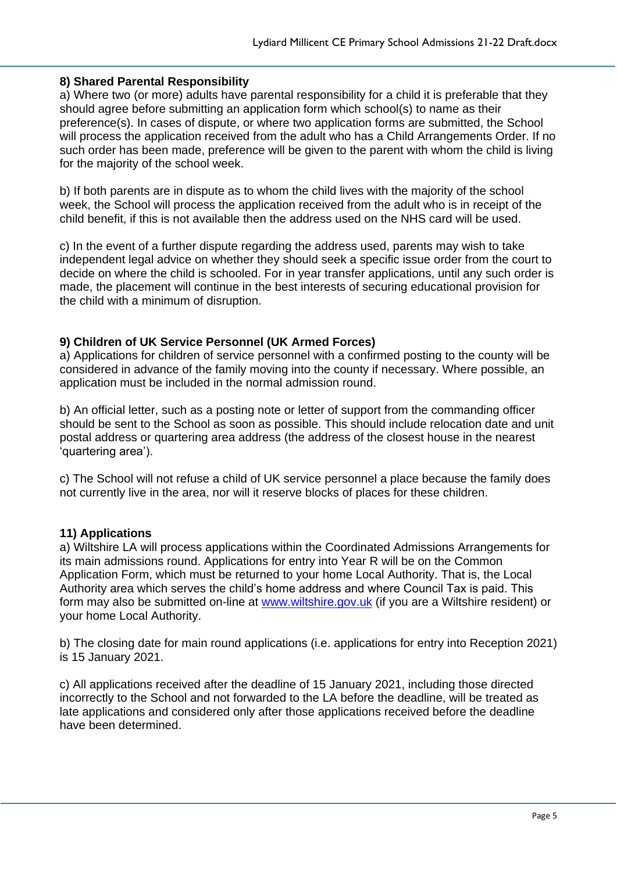#### **8) Shared Parental Responsibility**

a) Where two (or more) adults have parental responsibility for a child it is preferable that they should agree before submitting an application form which school(s) to name as their preference(s). In cases of dispute, or where two application forms are submitted, the School will process the application received from the adult who has a Child Arrangements Order. If no such order has been made, preference will be given to the parent with whom the child is living for the majority of the school week.

b) If both parents are in dispute as to whom the child lives with the majority of the school week, the School will process the application received from the adult who is in receipt of the child benefit, if this is not available then the address used on the NHS card will be used.

c) In the event of a further dispute regarding the address used, parents may wish to take independent legal advice on whether they should seek a specific issue order from the court to decide on where the child is schooled. For in year transfer applications, until any such order is made, the placement will continue in the best interests of securing educational provision for the child with a minimum of disruption.

#### **9) Children of UK Service Personnel (UK Armed Forces)**

a) Applications for children of service personnel with a confirmed posting to the county will be considered in advance of the family moving into the county if necessary. Where possible, an application must be included in the normal admission round.

b) An official letter, such as a posting note or letter of support from the commanding officer should be sent to the School as soon as possible. This should include relocation date and unit postal address or quartering area address (the address of the closest house in the nearest 'quartering area').

c) The School will not refuse a child of UK service personnel a place because the family does not currently live in the area, nor will it reserve blocks of places for these children.

#### **11) Applications**

a) Wiltshire LA will process applications within the Coordinated Admissions Arrangements for its main admissions round. Applications for entry into Year R will be on the Common Application Form, which must be returned to your home Local Authority. That is, the Local Authority area which serves the child's home address and where Council Tax is paid. This form may also be submitted on-line at [www.wiltshire.gov.uk](http://www.wiltshire.gov.uk/) (if you are a Wiltshire resident) or your home Local Authority.

b) The closing date for main round applications (i.e. applications for entry into Reception 2021) is 15 January 2021.

c) All applications received after the deadline of 15 January 2021, including those directed incorrectly to the School and not forwarded to the LA before the deadline, will be treated as late applications and considered only after those applications received before the deadline have been determined.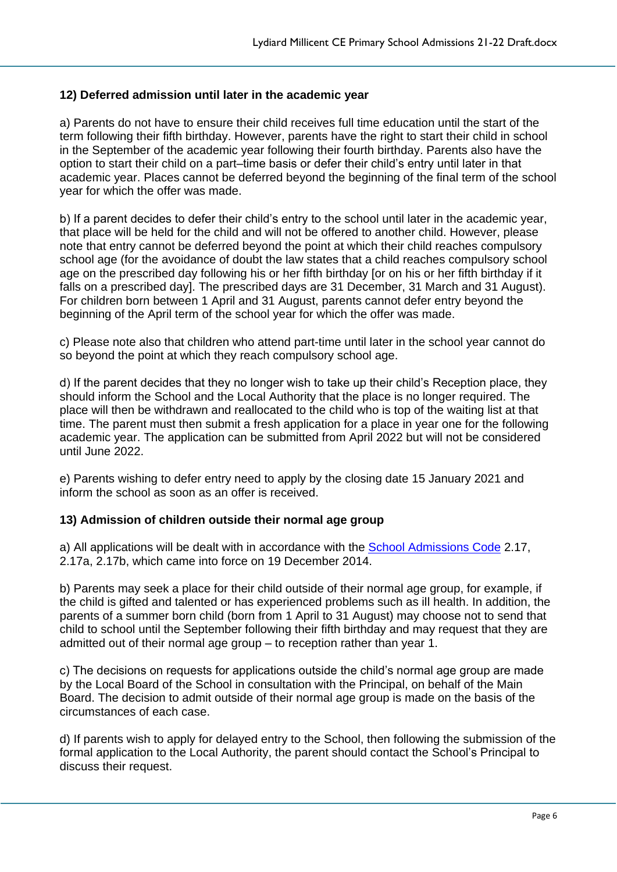#### **12) Deferred admission until later in the academic year**

a) Parents do not have to ensure their child receives full time education until the start of the term following their fifth birthday. However, parents have the right to start their child in school in the September of the academic year following their fourth birthday. Parents also have the option to start their child on a part–time basis or defer their child's entry until later in that academic year. Places cannot be deferred beyond the beginning of the final term of the school year for which the offer was made.

b) If a parent decides to defer their child's entry to the school until later in the academic year, that place will be held for the child and will not be offered to another child. However, please note that entry cannot be deferred beyond the point at which their child reaches compulsory school age (for the avoidance of doubt the law states that a child reaches compulsory school age on the prescribed day following his or her fifth birthday [or on his or her fifth birthday if it falls on a prescribed day]. The prescribed days are 31 December, 31 March and 31 August). For children born between 1 April and 31 August, parents cannot defer entry beyond the beginning of the April term of the school year for which the offer was made.

c) Please note also that children who attend part-time until later in the school year cannot do so beyond the point at which they reach compulsory school age.

d) If the parent decides that they no longer wish to take up their child's Reception place, they should inform the School and the Local Authority that the place is no longer required. The place will then be withdrawn and reallocated to the child who is top of the waiting list at that time. The parent must then submit a fresh application for a place in year one for the following academic year. The application can be submitted from April 2022 but will not be considered until June 2022.

e) Parents wishing to defer entry need to apply by the closing date 15 January 2021 and inform the school as soon as an offer is received.

#### **13) Admission of children outside their normal age group**

a) All applications will be dealt with in accordance with the [School Admissions Code](https://www.gov.uk/government/uploads/system/uploads/attachment_data/file/389388/School_Admissions_Code_2014_-_19_Dec.pdf) 2.17, 2.17a, 2.17b, which came into force on 19 December 2014.

b) Parents may seek a place for their child outside of their normal age group, for example, if the child is gifted and talented or has experienced problems such as ill health. In addition, the parents of a summer born child (born from 1 April to 31 August) may choose not to send that child to school until the September following their fifth birthday and may request that they are admitted out of their normal age group – to reception rather than year 1.

c) The decisions on requests for applications outside the child's normal age group are made by the Local Board of the School in consultation with the Principal, on behalf of the Main Board. The decision to admit outside of their normal age group is made on the basis of the circumstances of each case.

d) If parents wish to apply for delayed entry to the School, then following the submission of the formal application to the Local Authority, the parent should contact the School's Principal to discuss their request.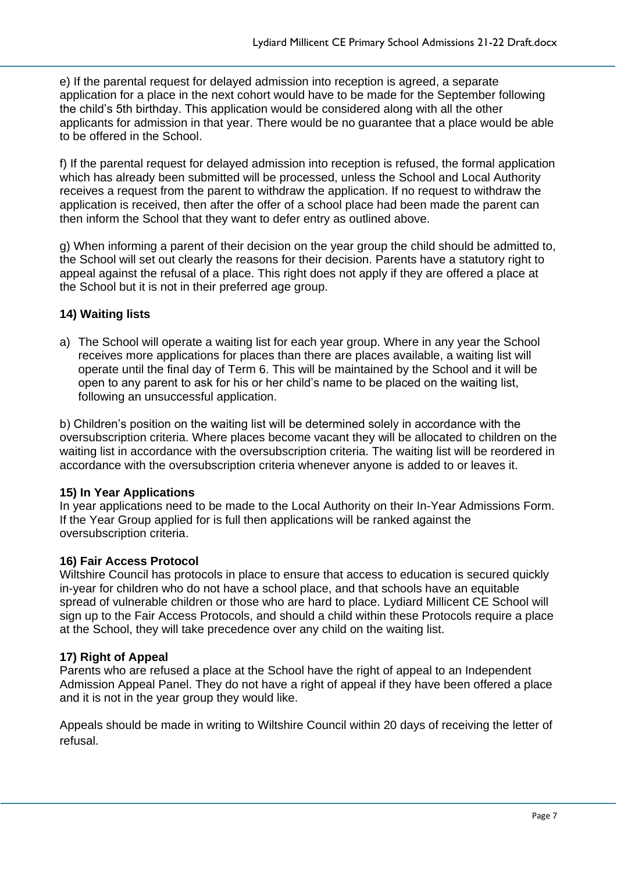e) If the parental request for delayed admission into reception is agreed, a separate application for a place in the next cohort would have to be made for the September following the child's 5th birthday. This application would be considered along with all the other applicants for admission in that year. There would be no guarantee that a place would be able to be offered in the School.

f) If the parental request for delayed admission into reception is refused, the formal application which has already been submitted will be processed, unless the School and Local Authority receives a request from the parent to withdraw the application. If no request to withdraw the application is received, then after the offer of a school place had been made the parent can then inform the School that they want to defer entry as outlined above.

g) When informing a parent of their decision on the year group the child should be admitted to, the School will set out clearly the reasons for their decision. Parents have a statutory right to appeal against the refusal of a place. This right does not apply if they are offered a place at the School but it is not in their preferred age group.

#### **14) Waiting lists**

a) The School will operate a waiting list for each year group. Where in any year the School receives more applications for places than there are places available, a waiting list will operate until the final day of Term 6. This will be maintained by the School and it will be open to any parent to ask for his or her child's name to be placed on the waiting list, following an unsuccessful application.

b) Children's position on the waiting list will be determined solely in accordance with the oversubscription criteria. Where places become vacant they will be allocated to children on the waiting list in accordance with the oversubscription criteria. The waiting list will be reordered in accordance with the oversubscription criteria whenever anyone is added to or leaves it.

#### **15) In Year Applications**

In year applications need to be made to the Local Authority on their In-Year Admissions Form. If the Year Group applied for is full then applications will be ranked against the oversubscription criteria.

#### **16) Fair Access Protocol**

Wiltshire Council has protocols in place to ensure that access to education is secured quickly in-year for children who do not have a school place, and that schools have an equitable spread of vulnerable children or those who are hard to place. Lydiard Millicent CE School will sign up to the Fair Access Protocols, and should a child within these Protocols require a place at the School, they will take precedence over any child on the waiting list.

#### **17) Right of Appeal**

Parents who are refused a place at the School have the right of appeal to an Independent Admission Appeal Panel. They do not have a right of appeal if they have been offered a place and it is not in the year group they would like.

Appeals should be made in writing to Wiltshire Council within 20 days of receiving the letter of refusal.